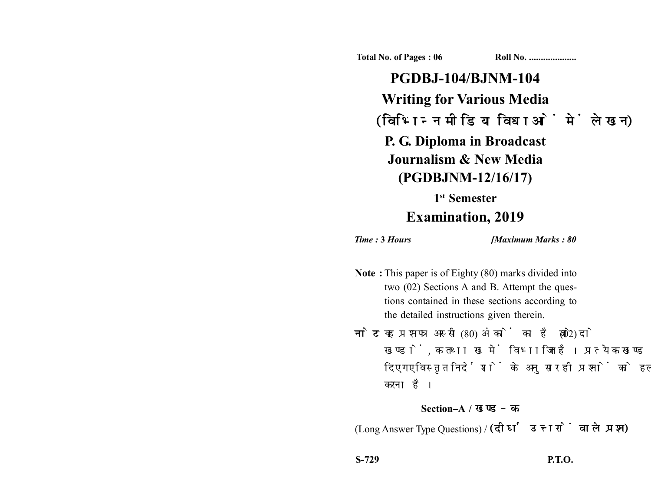**Total No. of Pages : 06 Roll No. ...................** 

**PGDBJ-104/BJNM-104 Writing for Various Media** (विभिन्न मीडिया विधाओं में लेखन) **P. G. Diploma in Broadcast Journalism & New Media (PGDBJNM-12/16/17)**

## **1st Semester Examination, 2019**

*Time :* **3** *Hours [Maximum Marks : 80*

- **Note :** This paper is of Eighty (80) marks divided into two (02) Sections A and B. Attempt the questions contained in these sections according to the detailed instructions given therein.
- नोट: यह प्रश्नपत्र अस्सी (80) अंकों का है जो दो (02) खण्डों. क तथा ख में विभाजित है। प्रत्येक खण्ड में दिए गए विस्तृत निर्देशों के अनुसार ही प्रश्नों को हल करना है।

## **Section–A /**

(Long Answer Type Questions) / (दीर्घ उत्तरों वाले प्रश्न)

**S-729 P.T.O.**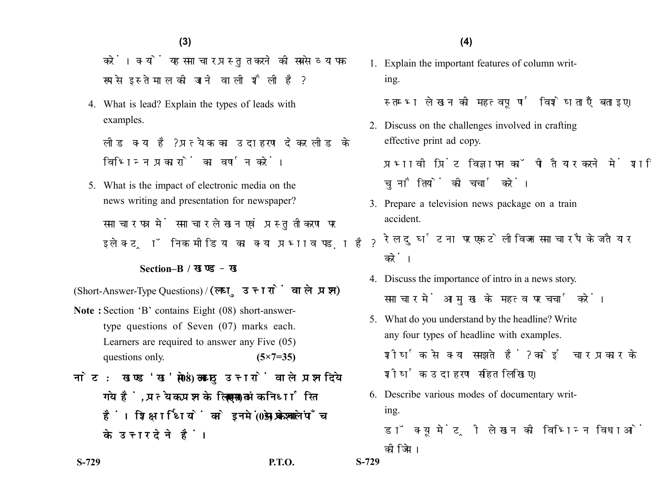**(4)(3)**

करें। क्यों यह समाचार प्रस्तुत करने की सबसे व्यापक रूप से इस्तेमाल की जाने वाली शैली है?

4. What is lead? Explain the types of leads with examples.

लीड क्या है? प्रत्येक का उदाहरण देकर लीड के विभिन्न प्रकारों का वर्णन करें।

5. What is the impact of electronic media on the news writing and presentation for newspaper? समाचार पत्र में समाचार लेखन एवं प्रस्तुतीकरण पर इलेक्ट्रॉनिक मीडिया का क्या प्रभाव पड़ा है?

## **Section–B /**

(Short-Answer-Type Questions) / (लघु उत्तरों वाले प्रश्न)

- **Note :** Section 'B' contains Eight (08) short-answertype questions of Seven (07) marks each. Learners are required to answer any Five (05) questions only. **(5×7=35)**
- नोट: खण्ड'ख' में आठ (08) लघु उत्तरों वाले प्रश्न दिये गये हैं, प्रत्येक प्रश्न के लिए सात (07) अंक निर्धारित हैं। शिक्षार्थियों को इनमें से केवल पाँच (05) प्रश्नों के उत्तर देने हैं।

1. Explain the important features of column writing.

स्तम्भ लेखन की महत्वपर्ण विशेषताएँ बताइए।

2. Discuss on the challenges involved in crafting effective print ad copy.

प्रभावी पिंट विज्ञापन कॉपी तैयार करने में शामिल चुनौतियों की चर्चा करें।

- 3. Prepare a television news package on a train accident.
	- रेल दुर्घटना पर एक टेलीविजन समाचार पैकेज तैयार करें।
- 4. Discuss the importance of intro in a news story. समाचार में आमख के महत्व पर चर्चा करें।
- 5. What do you understand by the headline? Write any four types of headline with examples. शीर्षक से क्या समझते हैं? कोई चार प्रकार के शीर्षक उदाहरण सहित लिखिए।
- 6. Describe various modes of documentary writing.
	- डॉक्यूमेंट्री लेखन की विभिन्न विधाओं का वर्णन कोजिये।

**S-729 P.T.O. S-729**